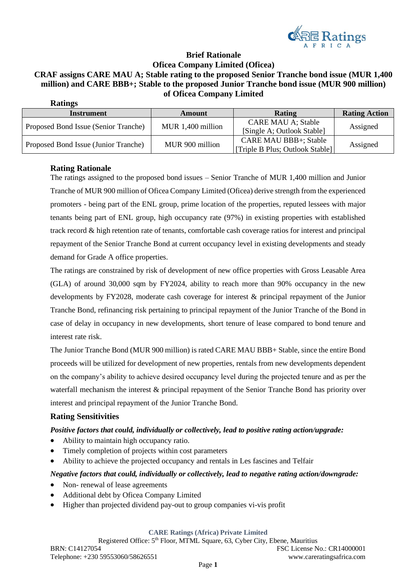

# **Brief Rationale**

## **Oficea Company Limited (Oficea) CRAF assigns CARE MAU A; Stable rating to the proposed Senior Tranche bond issue (MUR 1,400 million) and CARE BBB+; Stable to the proposed Junior Tranche bond issue (MUR 900 million) of Oficea Company Limited**

| <b>Ratings</b>                       |                   |                                                                  |                      |
|--------------------------------------|-------------------|------------------------------------------------------------------|----------------------|
| <b>Instrument</b>                    | Amount            | <b>Rating</b>                                                    | <b>Rating Action</b> |
| Proposed Bond Issue (Senior Tranche) | MUR 1,400 million | <b>CARE MAU A; Stable</b><br>[Single A; Outlook Stable]          | Assigned             |
| Proposed Bond Issue (Junior Tranche) | MUR 900 million   | <b>CARE MAU BBB+; Stable</b><br>[Triple B Plus; Outlook Stable]] | Assigned             |

## **Rating Rationale**

The ratings assigned to the proposed bond issues – Senior Tranche of MUR 1,400 million and Junior Tranche of MUR 900 million of Oficea Company Limited (Oficea) derive strength from the experienced promoters - being part of the ENL group, prime location of the properties, reputed lessees with major tenants being part of ENL group, high occupancy rate (97%) in existing properties with established track record & high retention rate of tenants, comfortable cash coverage ratios for interest and principal repayment of the Senior Tranche Bond at current occupancy level in existing developments and steady demand for Grade A office properties.

The ratings are constrained by risk of development of new office properties with Gross Leasable Area (GLA) of around 30,000 sqm by FY2024, ability to reach more than 90% occupancy in the new developments by FY2028, moderate cash coverage for interest & principal repayment of the Junior Tranche Bond, refinancing risk pertaining to principal repayment of the Junior Tranche of the Bond in case of delay in occupancy in new developments, short tenure of lease compared to bond tenure and interest rate risk.

The Junior Tranche Bond (MUR 900 million) is rated CARE MAU BBB+ Stable, since the entire Bond proceeds will be utilized for development of new properties, rentals from new developments dependent on the company's ability to achieve desired occupancy level during the projected tenure and as per the waterfall mechanism the interest & principal repayment of the Senior Tranche Bond has priority over interest and principal repayment of the Junior Tranche Bond.

## **Rating Sensitivities**

## *Positive factors that could, individually or collectively, lead to positive rating action/upgrade:*

- Ability to maintain high occupancy ratio.
- Timely completion of projects within cost parameters
- Ability to achieve the projected occupancy and rentals in Les fascines and Telfair

### *Negative factors that could, individually or collectively, lead to negative rating action/downgrade:*

- Non- renewal of lease agreements
- Additional debt by Oficea Company Limited
- Higher than projected dividend pay-out to group companies vi-vis profit

#### **CARE Ratings (Africa) Private Limited**

Registered Office: 5th Floor, MTML Square, 63, Cyber City, Ebene, Mauritius BRN: C14127054 FSC License No.: CR14000001 Telephone: +230 59553060/58626551 www.careratingsafrica.com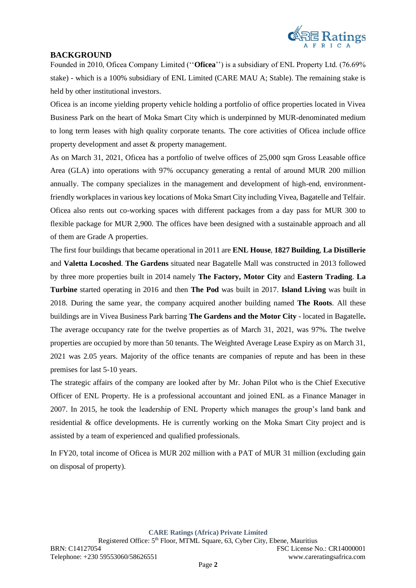

# **BACKGROUND**

Founded in 2010, Oficea Company Limited (''**Oficea**'') is a subsidiary of ENL Property Ltd. (76.69% stake) - which is a 100% subsidiary of ENL Limited (CARE MAU A; Stable). The remaining stake is held by other institutional investors.

Oficea is an income yielding property vehicle holding a portfolio of office properties located in Vivea Business Park on the heart of Moka Smart City which is underpinned by MUR-denominated medium to long term leases with high quality corporate tenants. The core activities of Oficea include office property development and asset & property management.

As on March 31, 2021, Oficea has a portfolio of twelve offices of 25,000 sqm Gross Leasable office Area (GLA) into operations with 97% occupancy generating a rental of around MUR 200 million annually. The company specializes in the management and development of high-end, environmentfriendly workplaces in various key locations of Moka Smart City including Vivea, Bagatelle and Telfair. Oficea also rents out co-working spaces with different packages from a day pass for MUR 300 to flexible package for MUR 2,900. The offices have been designed with a sustainable approach and all of them are Grade A properties.

The first four buildings that became operational in 2011 are **ENL House**, **1827 Building**, **La Distillerie** and **Valetta Locoshed**. **The Gardens** situated near Bagatelle Mall was constructed in 2013 followed by three more properties built in 2014 namely **The Factory, Motor City** and **Eastern Trading**. **La Turbine** started operating in 2016 and then **The Pod** was built in 2017. **Island Living** was built in 2018. During the same year, the company acquired another building named **The Roots**. All these buildings are in Vivea Business Park barring **The Gardens and the Motor City** - located in Bagatelle**.**  The average occupancy rate for the twelve properties as of March 31, 2021, was 97%. The twelve properties are occupied by more than 50 tenants. The Weighted Average Lease Expiry as on March 31, 2021 was 2.05 years. Majority of the office tenants are companies of repute and has been in these premises for last 5-10 years.

The strategic affairs of the company are looked after by Mr. Johan Pilot who is the Chief Executive Officer of ENL Property. He is a professional accountant and joined ENL as a Finance Manager in 2007. In 2015, he took the leadership of ENL Property which manages the group's land bank and residential & office developments. He is currently working on the Moka Smart City project and is assisted by a team of experienced and qualified professionals.

In FY20, total income of Oficea is MUR 202 million with a PAT of MUR 31 million (excluding gain on disposal of property).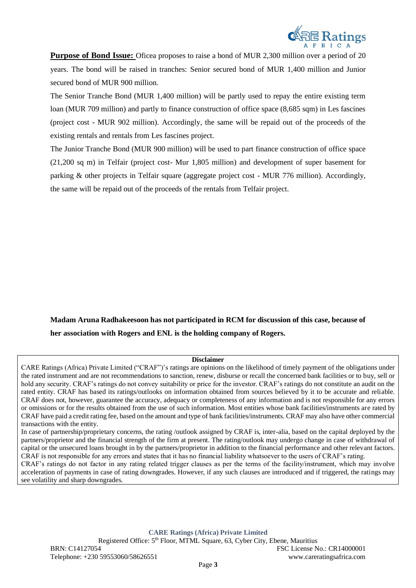

**Purpose of Bond Issue:** Oficea proposes to raise a bond of MUR 2,300 million over a period of 20 years. The bond will be raised in tranches: Senior secured bond of MUR 1,400 million and Junior secured bond of MUR 900 million.

The Senior Tranche Bond (MUR 1,400 million) will be partly used to repay the entire existing term loan (MUR 709 million) and partly to finance construction of office space (8,685 sqm) in Les fascines (project cost - MUR 902 million). Accordingly, the same will be repaid out of the proceeds of the existing rentals and rentals from Les fascines project.

The Junior Tranche Bond (MUR 900 million) will be used to part finance construction of office space (21,200 sq m) in Telfair (project cost- Mur 1,805 million) and development of super basement for parking & other projects in Telfair square (aggregate project cost - MUR 776 million). Accordingly, the same will be repaid out of the proceeds of the rentals from Telfair project.

**Madam Aruna Radhakeesoon has not participated in RCM for discussion of this case, because of her association with Rogers and ENL is the holding company of Rogers.**

#### **Disclaimer**

CARE Ratings (Africa) Private Limited ("CRAF")'s ratings are opinions on the likelihood of timely payment of the obligations under the rated instrument and are not recommendations to sanction, renew, disburse or recall the concerned bank facilities or to buy, sell or hold any security. CRAF's ratings do not convey suitability or price for the investor. CRAF's ratings do not constitute an audit on the rated entity. CRAF has based its ratings/outlooks on information obtained from sources believed by it to be accurate and reliable. CRAF does not, however, guarantee the accuracy, adequacy or completeness of any information and is not responsible for any errors or omissions or for the results obtained from the use of such information. Most entities whose bank facilities/instruments are rated by CRAF have paid a credit rating fee, based on the amount and type of bank facilities/instruments. CRAF may also have other commercial transactions with the entity.

In case of partnership/proprietary concerns, the rating /outlook assigned by CRAF is, inter-alia, based on the capital deployed by the partners/proprietor and the financial strength of the firm at present. The rating/outlook may undergo change in case of withdrawal of capital or the unsecured loans brought in by the partners/proprietor in addition to the financial performance and other relevant factors. CRAF is not responsible for any errors and states that it has no financial liability whatsoever to the users of CRAF's rating.

CRAF's ratings do not factor in any rating related trigger clauses as per the terms of the facility/instrument, which may involve acceleration of payments in case of rating downgrades. However, if any such clauses are introduced and if triggered, the ratings may see volatility and sharp downgrades.

**CARE Ratings (Africa) Private Limited**